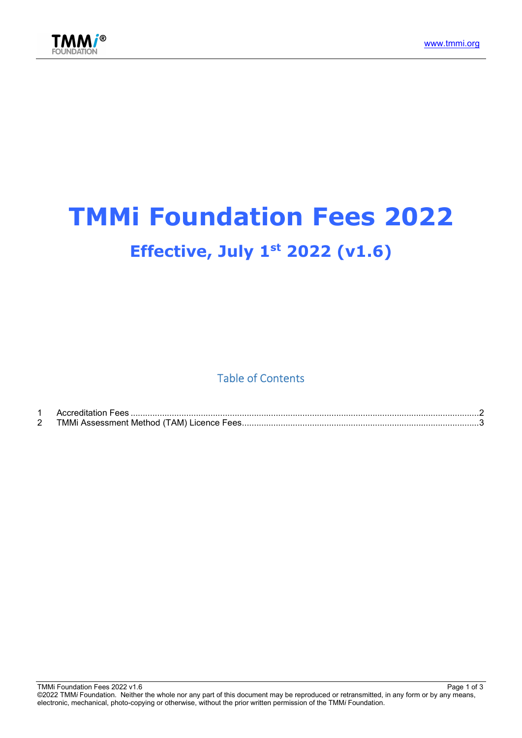



# TMMi Foundation Fees 2022 Effective, July  $1<sup>st</sup> 2022 (v1.6)$

Table of Contents

|             | Accreditation Fees                         |  |
|-------------|--------------------------------------------|--|
| $\sim$<br>- | TMMi Assessment Method (TAM) Licence Fees. |  |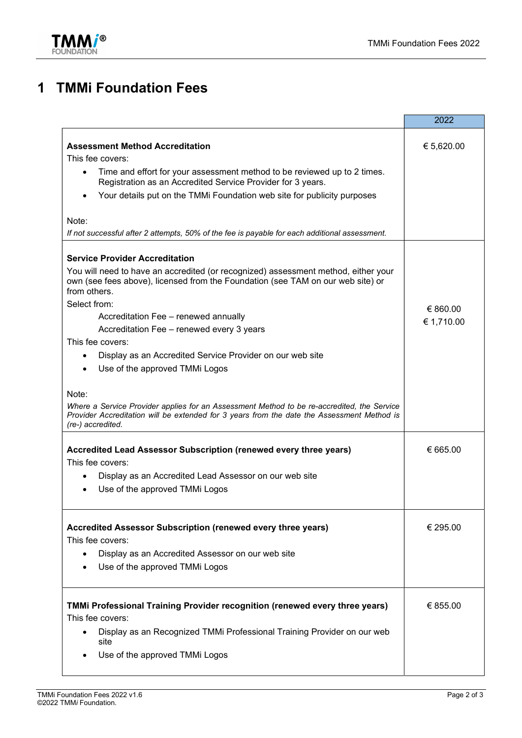

## 1 TMMi Foundation Fees

|                                                                                                                                                                                                                        | 2022       |
|------------------------------------------------------------------------------------------------------------------------------------------------------------------------------------------------------------------------|------------|
|                                                                                                                                                                                                                        |            |
| <b>Assessment Method Accreditation</b>                                                                                                                                                                                 | € 5,620.00 |
| This fee covers:                                                                                                                                                                                                       |            |
| Time and effort for your assessment method to be reviewed up to 2 times.<br>$\bullet$<br>Registration as an Accredited Service Provider for 3 years.                                                                   |            |
| Your details put on the TMMi Foundation web site for publicity purposes                                                                                                                                                |            |
| Note:                                                                                                                                                                                                                  |            |
| If not successful after 2 attempts, 50% of the fee is payable for each additional assessment.                                                                                                                          |            |
| <b>Service Provider Accreditation</b>                                                                                                                                                                                  |            |
| You will need to have an accredited (or recognized) assessment method, either your<br>own (see fees above), licensed from the Foundation (see TAM on our web site) or<br>from others.                                  |            |
| Select from:                                                                                                                                                                                                           | € 860.00   |
| Accreditation Fee - renewed annually                                                                                                                                                                                   | € 1,710.00 |
| Accreditation Fee - renewed every 3 years                                                                                                                                                                              |            |
| This fee covers:                                                                                                                                                                                                       |            |
| Display as an Accredited Service Provider on our web site<br>$\bullet$                                                                                                                                                 |            |
| Use of the approved TMMi Logos<br>$\bullet$                                                                                                                                                                            |            |
|                                                                                                                                                                                                                        |            |
| Note:<br>Where a Service Provider applies for an Assessment Method to be re-accredited, the Service<br>Provider Accreditation will be extended for 3 years from the date the Assessment Method is<br>(re-) accredited. |            |
|                                                                                                                                                                                                                        |            |
| Accredited Lead Assessor Subscription (renewed every three years)                                                                                                                                                      | € 665.00   |
| This fee covers:                                                                                                                                                                                                       |            |
| Display as an Accredited Lead Assessor on our web site                                                                                                                                                                 |            |
| Use of the approved TMMi Logos                                                                                                                                                                                         |            |
| Accredited Assessor Subscription (renewed every three years)                                                                                                                                                           | € 295.00   |
| This fee covers:                                                                                                                                                                                                       |            |
| Display as an Accredited Assessor on our web site<br>$\bullet$                                                                                                                                                         |            |
| Use of the approved TMMi Logos                                                                                                                                                                                         |            |
|                                                                                                                                                                                                                        |            |
| TMMi Professional Training Provider recognition (renewed every three years)                                                                                                                                            | € 855.00   |
| This fee covers:                                                                                                                                                                                                       |            |
| Display as an Recognized TMMi Professional Training Provider on our web<br>site                                                                                                                                        |            |
| Use of the approved TMMi Logos                                                                                                                                                                                         |            |
|                                                                                                                                                                                                                        |            |